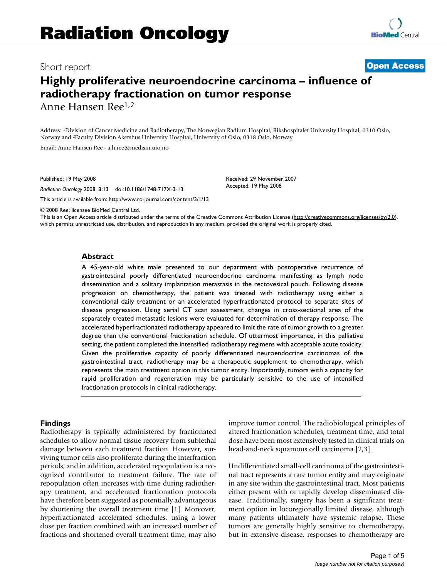## Short report **[Open Access](http://www.biomedcentral.com/info/about/charter/)**

# **Highly proliferative neuroendocrine carcinoma – influence of radiotherapy fractionation on tumor response** Anne Hansen Ree1,2

Address: 1Division of Cancer Medicine and Radiotherapy, The Norwegian Radium Hospital, Rikshospitalet University Hospital, 0310 Oslo, Norway and 2Faculty Division Akershus University Hospital, University of Oslo, 0318 Oslo, Norway

Email: Anne Hansen Ree - a.h.ree@medisin.uio.no

Published: 19 May 2008

*Radiation Oncology* 2008, **3**:13 doi:10.1186/1748-717X-3-13

[This article is available from: http://www.ro-journal.com/content/3/1/13](http://www.ro-journal.com/content/3/1/13)

© 2008 Ree; licensee BioMed Central Ltd.

This is an Open Access article distributed under the terms of the Creative Commons Attribution License [\(http://creativecommons.org/licenses/by/2.0\)](http://creativecommons.org/licenses/by/2.0), which permits unrestricted use, distribution, and reproduction in any medium, provided the original work is properly cited.

Received: 29 November 2007 Accepted: 19 May 2008

#### **Abstract**

A 45-year-old white male presented to our department with postoperative recurrence of gastrointestinal poorly differentiated neuroendocrine carcinoma manifesting as lymph node dissemination and a solitary implantation metastasis in the rectovesical pouch. Following disease progression on chemotherapy, the patient was treated with radiotherapy using either a conventional daily treatment or an accelerated hyperfractionated protocol to separate sites of disease progression. Using serial CT scan assessment, changes in cross-sectional area of the separately treated metastatic lesions were evaluated for determination of therapy response. The accelerated hyperfractionated radiotherapy appeared to limit the rate of tumor growth to a greater degree than the conventional fractionation schedule. Of uttermost importance, in this palliative setting, the patient completed the intensified radiotherapy regimens with acceptable acute toxicity. Given the proliferative capacity of poorly differentiated neuroendocrine carcinomas of the gastrointestinal tract, radiotherapy may be a therapeutic supplement to chemotherapy, which represents the main treatment option in this tumor entity. Importantly, tumors with a capacity for rapid proliferation and regeneration may be particularly sensitive to the use of intensified fractionation protocols in clinical radiotherapy.

#### **Findings**

Radiotherapy is typically administered by fractionated schedules to allow normal tissue recovery from sublethal damage between each treatment fraction. However, surviving tumor cells also proliferate during the interfraction periods, and in addition, accelerated repopulation is a recognized contributor to treatment failure. The rate of repopulation often increases with time during radiotherapy treatment, and accelerated fractionation protocols have therefore been suggested as potentially advantageous by shortening the overall treatment time [1]. Moreover, hyperfractionated accelerated schedules, using a lower dose per fraction combined with an increased number of fractions and shortened overall treatment time, may also

improve tumor control. The radiobiological principles of altered fractionation schedules, treatment time, and total dose have been most extensively tested in clinical trials on head-and-neck squamous cell carcinoma [2,3].

Undifferentiated small-cell carcinoma of the gastrointestinal tract represents a rare tumor entity and may originate in any site within the gastrointestinal tract. Most patients either present with or rapidly develop disseminated disease. Traditionally, surgery has been a significant treatment option in locoregionally limited disease, although many patients ultimately have systemic relapse. These tumors are generally highly sensitive to chemotherapy, but in extensive disease, responses to chemotherapy are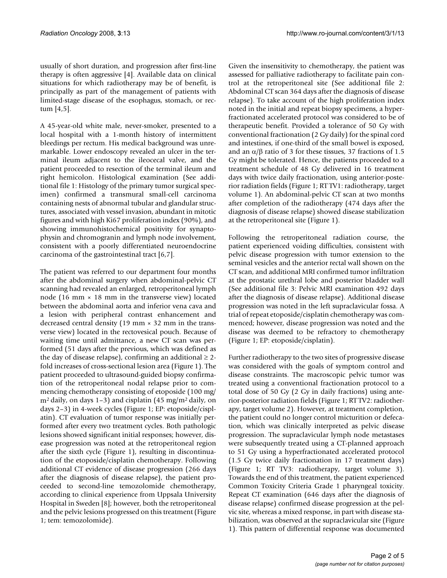usually of short duration, and progression after first-line therapy is often aggressive [4]. Available data on clinical situations for which radiotherapy may be of benefit, is principally as part of the management of patients with limited-stage disease of the esophagus, stomach, or rectum [4,5].

A 45-year-old white male, never-smoker, presented to a local hospital with a 1-month history of intermittent bleedings per rectum. His medical background was unremarkable. Lower endoscopy revealed an ulcer in the terminal ileum adjacent to the ileocecal valve, and the patient proceeded to resection of the terminal ileum and right hemicolon. Histological examination (See additional file 1: Histology of the primary tumor surgical specimen) confirmed a transmural small-cell carcinoma containing nests of abnormal tubular and glandular structures, associated with vessel invasion, abundant in mitotic figures and with high Ki67 proliferation index (90%), and showing immunohistochemical positivity for synaptophysin and chromogranin and lymph node involvement, consistent with a poorly differentiated neuroendocrine carcinoma of the gastrointestinal tract [6,7].

The patient was referred to our department four months after the abdominal surgery when abdominal-pelvic CT scanning had revealed an enlarged, retroperitoneal lymph node (16 mm  $\times$  18 mm in the transverse view) located between the abdominal aorta and inferior vena cava and a lesion with peripheral contrast enhancement and decreased central density (19 mm  $\times$  32 mm in the transverse view) located in the rectovesical pouch. Because of waiting time until admittance, a new CT scan was performed (51 days after the previous, which was defined as the day of disease relapse), confirming an additional  $\geq 2$ fold increases of cross-sectional lesion area (Figure 1). The patient proceeded to ultrasound-guided biopsy confirmation of the retroperitoneal nodal relapse prior to commencing chemotherapy consisting of etoposide (100 mg/  $m<sup>2</sup>$  daily, on days 1–3) and cisplatin (45 mg/m<sup>2</sup> daily, on days 2–3) in 4-week cycles (Figure 1; EP: etoposide/cisplatin). CT evaluation of tumor response was initially performed after every two treatment cycles. Both pathologic lesions showed significant initial responses; however, disease progression was noted at the retroperitoneal region after the sixth cycle (Figure 1), resulting in discontinuation of the etoposide/cisplatin chemotherapy. Following additional CT evidence of disease progression (266 days after the diagnosis of disease relapse), the patient proceeded to second-line temozolomide chemotherapy, according to clinical experience from Uppsala University Hospital in Sweden [8]; however, both the retroperitoneal and the pelvic lesions progressed on this treatment (Figure 1; tem: temozolomide).

Given the insensitivity to chemotherapy, the patient was assessed for palliative radiotherapy to facilitate pain control at the retroperitoneal site (See additional file 2: Abdominal CT scan 364 days after the diagnosis of disease relapse). To take account of the high proliferation index noted in the initial and repeat biopsy specimens, a hyperfractionated accelerated protocol was considered to be of therapeutic benefit. Provided a tolerance of 50 Gy with conventional fractionation (2 Gy daily) for the spinal cord and intestines, if one-third of the small bowel is exposed, and an  $\alpha/\beta$  ratio of 3 for these tissues, 37 fractions of 1.5 Gy might be tolerated. Hence, the patients proceeded to a treatment schedule of 48 Gy delivered in 16 treatment days with twice daily fractionation, using anterior-posterior radiation fields (Figure 1; RT TV1: radiotherapy, target volume 1). An abdominal-pelvic CT scan at two months after completion of the radiotherapy (474 days after the diagnosis of disease relapse) showed disease stabilization at the retroperitoneal site (Figure 1).

Following the retroperitoneal radiation course, the patient experienced voiding difficulties, consistent with pelvic disease progression with tumor extension to the seminal vesicles and the anterior rectal wall shown on the CT scan, and additional MRI confirmed tumor infiltration at the prostatic urethral lobe and posterior bladder wall (See additional file 3: Pelvic MRI examination 492 days after the diagnosis of disease relapse). Additional disease progression was noted in the left supraclavicular fossa. A trial of repeat etoposide/cisplatin chemotherapy was commenced; however, disease progression was noted and the disease was deemed to be refractory to chemotherapy (Figure 1; EP: etoposide/cisplatin).

Further radiotherapy to the two sites of progressive disease was considered with the goals of symptom control and disease constraints. The macroscopic pelvic tumor was treated using a conventional fractionation protocol to a total dose of 50 Gy (2 Gy in daily fractions) using anterior-posterior radiation fields (Figure 1; RT TV2: radiotherapy, target volume 2). However, at treatment completion, the patient could no longer control micturition or defecation, which was clinically interpreted as pelvic disease progression. The supraclavicular lymph node metastases were subsequently treated using a CT-planned approach to 51 Gy using a hyperfractionated accelerated protocol (1.5 Gy twice daily fractionation in 17 treatment days) (Figure 1; RT TV3: radiotherapy, target volume 3). Towards the end of this treatment, the patient experienced Common Toxicity Criteria Grade 1 pharyngeal toxicity. Repeat CT examination (646 days after the diagnosis of disease relapse) confirmed disease progression at the pelvic site, whereas a mixed response, in part with disease stabilization, was observed at the supraclavicular site (Figure 1). This pattern of differential response was documented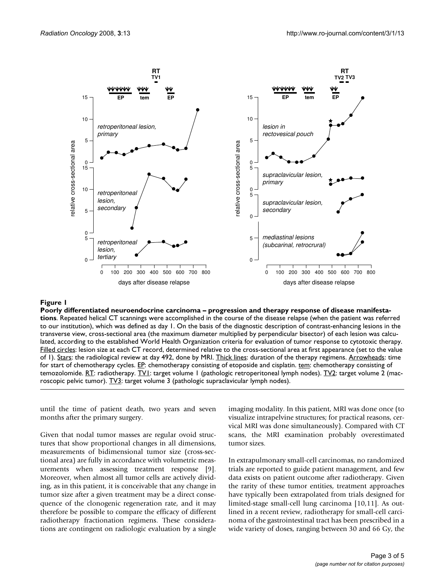

#### Poorly differentiated neur **Figure 1** oendocrine carcinoma – progression and therapy response of disease manifestations

**Poorly differentiated neuroendocrine carcinoma – progression and therapy response of disease manifestations**. Repeated helical CT scannings were accomplished in the course of the disease relapse (when the patient was referred to our institution), which was defined as day 1. On the basis of the diagnostic description of contrast-enhancing lesions in the transverse view, cross-sectional area (the maximum diameter multiplied by perpendicular bisector) of each lesion was calculated, according to the established World Health Organization criteria for evaluation of tumor response to cytotoxic therapy. Filled circles: lesion size at each CT record, determined relative to the cross-sectional area at first appearance (set to the value of 1). Stars: the radiological review at day 492, done by MRI. Thick lines: duration of the therapy regimens. Arrowheads: time for start of chemotherapy cycles. **EP**: chemotherapy consisting of etoposide and cisplatin. tem: chemotherapy consisting of temozolomide. RT: radiotherapy. TV1: target volume 1 (pathologic retroperitoneal lymph nodes). TV2: target volume 2 (macroscopic pelvic tumor). TV3: target volume 3 (pathologic supraclavicular lymph nodes).

until the time of patient death, two years and seven months after the primary surgery.

Given that nodal tumor masses are regular ovoid structures that show proportional changes in all dimensions, measurements of bidimensional tumor size (cross-sectional area) are fully in accordance with volumetric measurements when assessing treatment response [9]. Moreover, when almost all tumor cells are actively dividing, as in this patient, it is conceivable that any change in tumor size after a given treatment may be a direct consequence of the clonogenic regeneration rate, and it may therefore be possible to compare the efficacy of different radiotherapy fractionation regimens. These considerations are contingent on radiologic evaluation by a single imaging modality. In this patient, MRI was done once (to visualize intrapelvine structures; for practical reasons, cervical MRI was done simultaneously). Compared with CT scans, the MRI examination probably overestimated tumor sizes.

In extrapulmonary small-cell carcinomas, no randomized trials are reported to guide patient management, and few data exists on patient outcome after radiotherapy. Given the rarity of these tumor entities, treatment approaches have typically been extrapolated from trials designed for limited-stage small-cell lung carcinoma [10,11]. As outlined in a recent review, radiotherapy for small-cell carcinoma of the gastrointestinal tract has been prescribed in a wide variety of doses, ranging between 30 and 66 Gy, the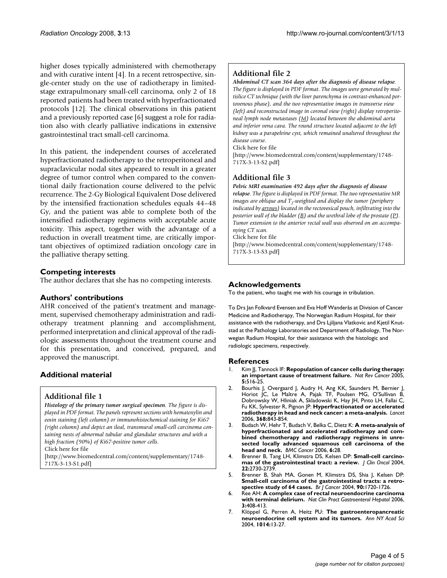higher doses typically administered with chemotherapy and with curative intent [4]. In a recent retrospective, single-center study on the use of radiotherapy in limitedstage extrapulmonary small-cell carcinoma, only 2 of 18 reported patients had been treated with hyperfractionated protocols [12]. The clinical observations in this patient and a previously reported case [6] suggest a role for radiation also with clearly palliative indications in extensive gastrointestinal tract small-cell carcinoma.

In this patient, the independent courses of accelerated hyperfractionated radiotherapy to the retroperitoneal and supraclavicular nodal sites appeared to result in a greater degree of tumor control when compared to the conventional daily fractionation course delivered to the pelvic recurrence. The 2-Gy Biological Equivalent Dose delivered by the intensified fractionation schedules equals 44–48 Gy, and the patient was able to complete both of the intensified radiotherapy regimens with acceptable acute toxicity. This aspect, together with the advantage of a reduction in overall treatment time, are critically important objectives of optimized radiation oncology care in the palliative therapy setting.

#### **Competing interests**

The author declares that she has no competing interests.

#### **Authors' contributions**

AHR conceived of the patient's treatment and management, supervised chemotherapy administration and radiotherapy treatment planning and accomplishment, performed interpretation and clinical approval of the radiologic assessments throughout the treatment course and for this presentation, and conceived, prepared, and approved the manuscript.

## **Additional material**

#### **Additional file 1**

*Histology of the primary tumor surgical specimen. The figure is displayed in PDF format. The panels represent sections with hematoxylin and eosin staining (left column) or immunohistochemical staining for Ki67 (right column) and depict an ileal, transmural small-cell carcinoma containing nests of abnormal tubular and glandular structures and with a high fraction (90%) of Ki67-positive tumor cells.*

Click here for file

[\[http://www.biomedcentral.com/content/supplementary/1748-](http://www.biomedcentral.com/content/supplementary/1748-717X-3-13-S1.pdf) 717X-3-13-S1.pdf]

## **Additional file 2**

*Abdominal CT scan 364 days after the diagnosis of disease relapse. The figure is displayed in PDF format. The images were generated by multislice CT technique (with the liver parenchyma in contrast-enhanced portovenous phase), and the two representative images in transverse view (left) and reconstructed image in coronal view (right) display retroperitoneal lymph node metastases (M) located between the abdominal aorta and inferior vena cava. The round structure located adjacent to the left kidney was a parapelvine cyst, which remained unaltered throughout the disease course.*

Click here for file

[\[http://www.biomedcentral.com/content/supplementary/1748-](http://www.biomedcentral.com/content/supplementary/1748-717X-3-13-S2.pdf) 717X-3-13-S2.pdf]

## **Additional file 3**

*Pelvic MRI examination 492 days after the diagnosis of disease* 

*relapse. The figure is displayed in PDF format. The two representative MR images are oblique and*  $T_2$ *-weighted and display the tumor (periphery*  $\blacksquare$ *indicated by arrows) located in the rectovesical pouch, infiltrating into the posterior wall of the bladder (* $\underline{B}$ *) and the urethral lobe of the prostate (* $\underline{P}$ *). Tumor extension to the anterior rectal wall was observed on an accompanying CT scan.*

Click here for file

[\[http://www.biomedcentral.com/content/supplementary/1748-](http://www.biomedcentral.com/content/supplementary/1748-717X-3-13-S3.pdf) 717X-3-13-S3.pdf]

#### **Acknowledgements**

To the patient, who taught me with his courage in tribulation.

To Drs Jan Folkvard Evensen and Eva Hoff Wanderås at Division of Cancer Medicine and Radiotherapy, The Norwegian Radium Hospital, for their assistance with the radiotherapy, and Drs Ljiljana Vlatkovic and Kjetil Knutstad at the Pathology Laboratories and Department of Radiology, The Norwegian Radium Hospital, for their assistance with the histologic and radiologic specimens, respectively.

#### **References**

- Kim JJ, Tannock IF: **[Repopulation of cancer cells during therapy:](http://www.ncbi.nlm.nih.gov/entrez/query.fcgi?cmd=Retrieve&db=PubMed&dopt=Abstract&list_uids=15965493) [an important cause of treatment failure.](http://www.ncbi.nlm.nih.gov/entrez/query.fcgi?cmd=Retrieve&db=PubMed&dopt=Abstract&list_uids=15965493)** *Nat Rev Cancer* 2005, **5:**516-25.
- 2. Bourhis J, Overgaard J, Audry H, Ang KK, Saunders M, Bernier J, Horiot JC, Le Maître A, Pajak TF, Poulsen MG, O'Sullivan B, Dobrowsky W, Hliniak A, Skladowski K, Hay JH, Pinto LH, Fallai C, Fu KK, Sylvester R, Pignon JP: **[Hyperfractionated or accelerated](http://www.ncbi.nlm.nih.gov/entrez/query.fcgi?cmd=Retrieve&db=PubMed&dopt=Abstract&list_uids=16950362) [radiotherapy in head and neck cancer: a meta-analysis.](http://www.ncbi.nlm.nih.gov/entrez/query.fcgi?cmd=Retrieve&db=PubMed&dopt=Abstract&list_uids=16950362)** *Lancet* 2006, **368:**843-854.
- 3. Budach W, Hehr T, Budach V, Belka C, Dietz K: **[A meta-analysis of](http://www.ncbi.nlm.nih.gov/entrez/query.fcgi?cmd=Retrieve&db=PubMed&dopt=Abstract&list_uids=16448551) hyperfractionated and accelerated radiotherapy and com[bined chemotherapy and radiotherapy regimens in unre](http://www.ncbi.nlm.nih.gov/entrez/query.fcgi?cmd=Retrieve&db=PubMed&dopt=Abstract&list_uids=16448551)sected locally advanced squamous cell carcinoma of the [head and neck.](http://www.ncbi.nlm.nih.gov/entrez/query.fcgi?cmd=Retrieve&db=PubMed&dopt=Abstract&list_uids=16448551)** *BMC Cancer* 2006, **6:**28.
- 4. Brenner B, Tang LH, Klimstra DS, Kelsen DP: **[Small-cell carcino](http://www.ncbi.nlm.nih.gov/entrez/query.fcgi?cmd=Retrieve&db=PubMed&dopt=Abstract&list_uids=15226341)[mas of the gastrointestinal tract: a review.](http://www.ncbi.nlm.nih.gov/entrez/query.fcgi?cmd=Retrieve&db=PubMed&dopt=Abstract&list_uids=15226341)** *J Clin Oncol* 2004, **22:**2730-2739.
- 5. Brenner B, Shah MA, Gonen M, Klimstra DS, Shia J, Kelsen DP: **[Small-cell carcinoma of the gastrointestinal tracts: a retro](http://www.ncbi.nlm.nih.gov/entrez/query.fcgi?cmd=Retrieve&db=PubMed&dopt=Abstract&list_uids=15150595)[spective study of 64 cases.](http://www.ncbi.nlm.nih.gov/entrez/query.fcgi?cmd=Retrieve&db=PubMed&dopt=Abstract&list_uids=15150595)** *Br J Cancer* 2004, **90:**1720-1726.
- 6. Ree AH: **[A complex case of rectal neuroendocrine carcinoma](http://www.ncbi.nlm.nih.gov/entrez/query.fcgi?cmd=Retrieve&db=PubMed&dopt=Abstract&list_uids=16819503) [with terminal delirium.](http://www.ncbi.nlm.nih.gov/entrez/query.fcgi?cmd=Retrieve&db=PubMed&dopt=Abstract&list_uids=16819503)** *Nat Clin Pract Gastroenterol Hepatol* 2006, **3:**408-413.
- 7. Klöppel G, Perren A, Heitz PU: **[The gastroenteropancreatic](http://www.ncbi.nlm.nih.gov/entrez/query.fcgi?cmd=Retrieve&db=PubMed&dopt=Abstract&list_uids=15153416) [neuroendocrine cell system and its tumors.](http://www.ncbi.nlm.nih.gov/entrez/query.fcgi?cmd=Retrieve&db=PubMed&dopt=Abstract&list_uids=15153416)** *Ann NY Acad Sci* 2004, **1014:**13-27.